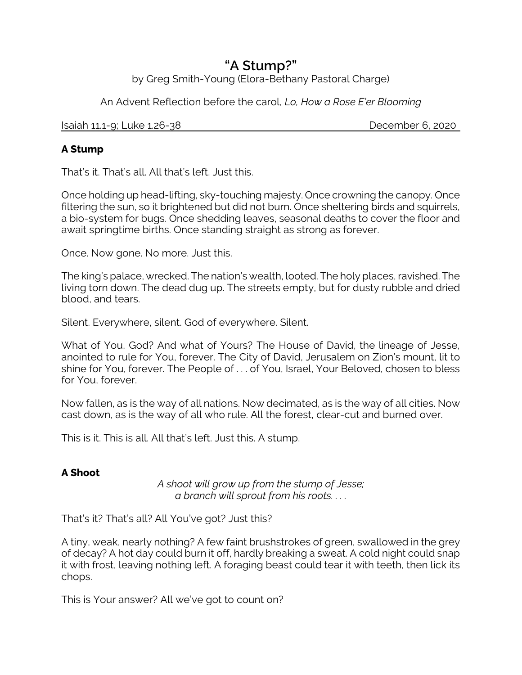# **"A Stump?"**

by Greg Smith-Young (Elora-Bethany Pastoral Charge)

An Advent Reflection before the carol, *Lo, How a Rose E'er Blooming*

Isaiah 11.1-9; Luke 1.26-38 December 6, 2020

# **A Stump**

That's it. That's all. All that's left. Just this.

Once holding up head-lifting, sky-touching majesty. Once crowning the canopy. Once filtering the sun, so it brightened but did not burn. Once sheltering birds and squirrels, a bio-system for bugs. Once shedding leaves, seasonal deaths to cover the floor and await springtime births. Once standing straight as strong as forever.

Once. Now gone. No more. Just this.

The king's palace, wrecked. The nation's wealth, looted. The holy places, ravished. The living torn down. The dead dug up. The streets empty, but for dusty rubble and dried blood, and tears.

Silent. Everywhere, silent. God of everywhere. Silent.

What of You, God? And what of Yours? The House of David, the lineage of Jesse, anointed to rule for You, forever. The City of David, Jerusalem on Zion's mount, lit to shine for You, forever. The People of . . . of You, Israel, Your Beloved, chosen to bless for You, forever.

Now fallen, as is the way of all nations. Now decimated, as is the way of all cities. Now cast down, as is the way of all who rule. All the forest, clear-cut and burned over.

This is it. This is all. All that's left. Just this. A stump.

# **A Shoot**

*A shoot will grow up from the stump of Jesse; a branch will sprout from his roots. . . .*

That's it? That's all? All You've got? Just this?

A tiny, weak, nearly nothing? A few faint brushstrokes of green, swallowed in the grey of decay? A hot day could burn it off, hardly breaking a sweat. A cold night could snap it with frost, leaving nothing left. A foraging beast could tear it with teeth, then lick its chops.

This is Your answer? All we've got to count on?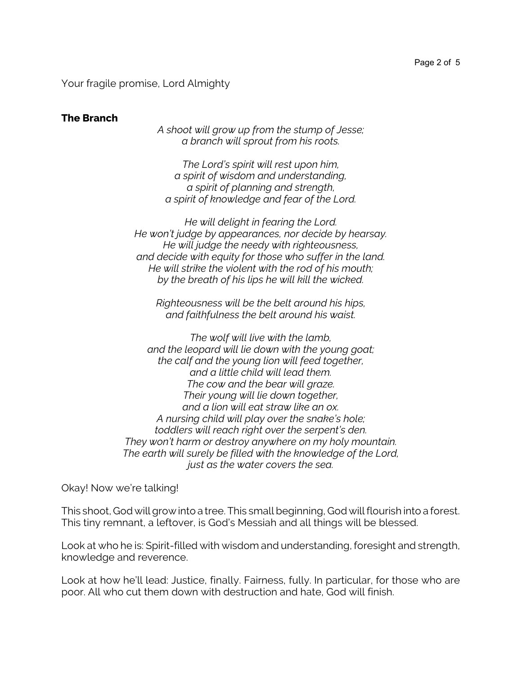Your fragile promise, Lord Almighty

#### **The Branch**

*A shoot will grow up from the stump of Jesse; a branch will sprout from his roots.*

*The Lord's spirit will rest upon him, a spirit of wisdom and understanding, a spirit of planning and strength, a spirit of knowledge and fear of the Lord.*

*He will delight in fearing the Lord. He won't judge by appearances, nor decide by hearsay. He will judge the needy with righteousness, and decide with equity for those who suffer in the land. He will strike the violent with the rod of his mouth; by the breath of his lips he will kill the wicked.*

*Righteousness will be the belt around his hips, and faithfulness the belt around his waist.*

*The wolf will live with the lamb, and the leopard will lie down with the young goat; the calf and the young lion will feed together, and a little child will lead them. The cow and the bear will graze. Their young will lie down together, and a lion will eat straw like an ox. A nursing child will play over the snake's hole; toddlers will reach right over the serpent's den. They won't harm or destroy anywhere on my holy mountain. The earth will surely be filled with the knowledge of the Lord, just as the water covers the sea.*

Okay! Now we're talking!

This shoot, God will grow into a tree. This small beginning, God will flourish into a forest. This tiny remnant, a leftover, is God's Messiah and all things will be blessed.

Look at who he is: Spirit-filled with wisdom and understanding, foresight and strength, knowledge and reverence.

Look at how he'll lead: Justice, finally. Fairness, fully. In particular, for those who are poor. All who cut them down with destruction and hate, God will finish.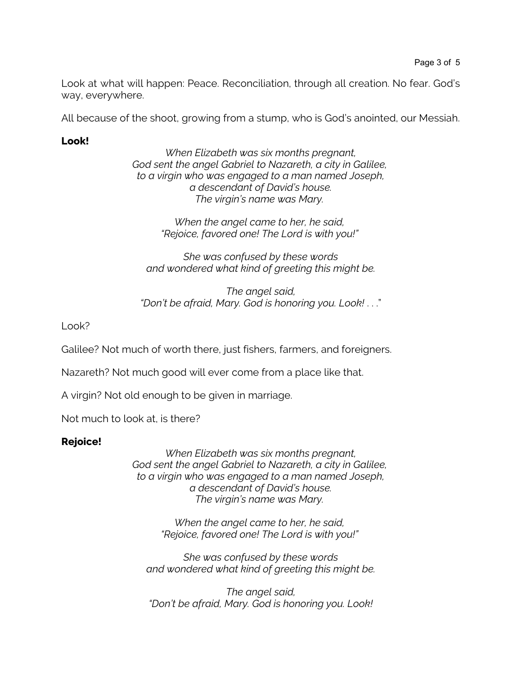Look at what will happen: Peace. Reconciliation, through all creation. No fear. God's way, everywhere.

All because of the shoot, growing from a stump, who is God's anointed, our Messiah.

## **Look!**

*When Elizabeth was six months pregnant, God sent the angel Gabriel to Nazareth, a city in Galilee, to a virgin who was engaged to a man named Joseph, a descendant of David's house. The virgin's name was Mary.* 

> *When the angel came to her, he said, "Rejoice, favored one! The Lord is with you!"*

*She was confused by these words and wondered what kind of greeting this might be.*

*The angel said, "Don't be afraid, Mary. God is honoring you. Look!* . . ."

Look?

Galilee? Not much of worth there, just fishers, farmers, and foreigners.

Nazareth? Not much good will ever come from a place like that.

A virgin? Not old enough to be given in marriage.

Not much to look at, is there?

### **Rejoice!**

*When Elizabeth was six months pregnant, God sent the angel Gabriel to Nazareth, a city in Galilee, to a virgin who was engaged to a man named Joseph, a descendant of David's house. The virgin's name was Mary.* 

> *When the angel came to her, he said, "Rejoice, favored one! The Lord is with you!"*

*She was confused by these words and wondered what kind of greeting this might be.*

*The angel said, "Don't be afraid, Mary. God is honoring you. Look!*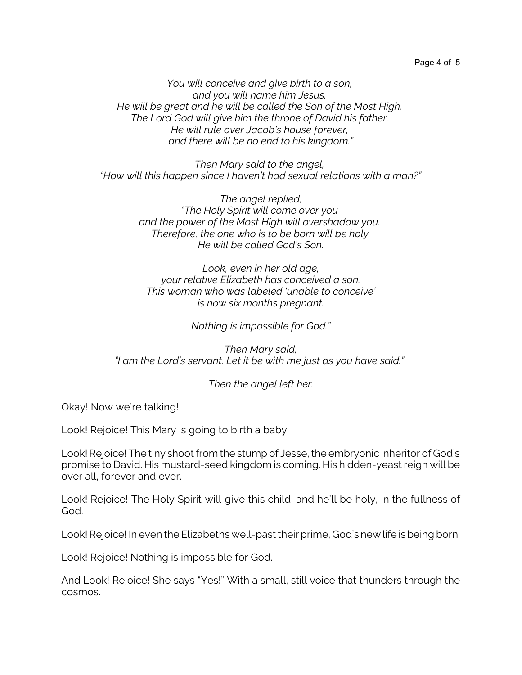Page 4 of 5

*You will conceive and give birth to a son, and you will name him Jesus. He will be great and he will be called the Son of the Most High. The Lord God will give him the throne of David his father. He will rule over Jacob's house forever, and there will be no end to his kingdom."*

*Then Mary said to the angel, "How will this happen since I haven't had sexual relations with a man?"*

> *The angel replied, "The Holy Spirit will come over you and the power of the Most High will overshadow you. Therefore, the one who is to be born will be holy. He will be called God's Son.*

*Look, even in her old age, your relative Elizabeth has conceived a son. This woman who was labeled 'unable to conceive' is now six months pregnant.*

*Nothing is impossible for God."*

*Then Mary said, "I am the Lord's servant. Let it be with me just as you have said."* 

*Then the angel left her.*

Okay! Now we're talking!

Look! Rejoice! This Mary is going to birth a baby.

Look! Rejoice! The tiny shoot from the stump of Jesse, the embryonic inheritor of God's promise to David. His mustard-seed kingdom is coming. His hidden-yeast reign will be over all, forever and ever.

Look! Rejoice! The Holy Spirit will give this child, and he'll be holy, in the fullness of God.

Look! Rejoice! In even the Elizabeths well-past their prime, God's new life is being born.

Look! Rejoice! Nothing is impossible for God.

And Look! Rejoice! She says "Yes!" With a small, still voice that thunders through the cosmos.